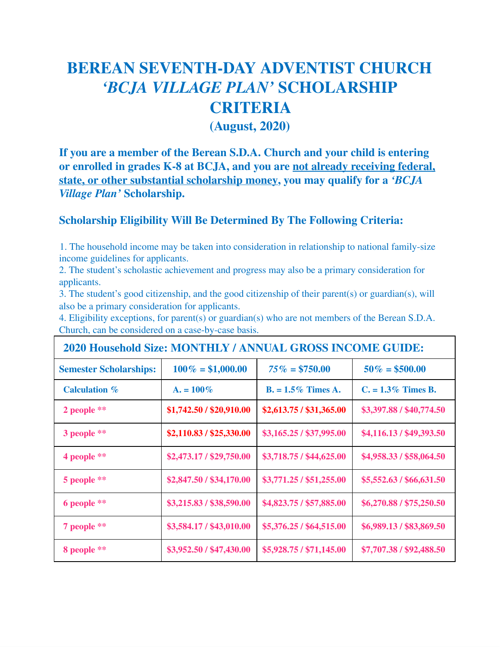## **BEREAN SEVENTH-DAY ADVENTIST CHURCH** *'BCJA VILLAGE PLAN'* **SCHOLARSHIP CRITERIA**

**(August, 2020)**

**If you are a member of the Berean S.D.A. Church and your child is entering or enrolled in grades K-8 at BCJA, and you are not already receiving federal, state, or other substantial scholarship money, you may qualify for a** *'BCJA Village Plan'* **Scholarship.**

## **Scholarship Eligibility Will Be Determined By The Following Criteria:**

1. The household income may be taken into consideration in relationship to national family-size income guidelines for applicants.

2. The student's scholastic achievement and progress may also be a primary consideration for applicants.

3. The student's good citizenship, and the good citizenship of their parent(s) or guardian(s), will also be a primary consideration for applicants.

4. Eligibility exceptions, for parent(s) or guardian(s) who are not members of the Berean S.D.A. Church, can be considered on a case-by-case basis.

| <b>2020 Household Size: MONTHLY / ANNUAL GROSS INCOME GUIDE:</b> |                          |                          |                          |
|------------------------------------------------------------------|--------------------------|--------------------------|--------------------------|
| <b>Semester Scholarships:</b>                                    | $100\% = $1,000.00$      | $75\% = $750.00$         | $50\% = $500.00$         |
| <b>Calculation</b> %                                             | $A_{1} = 100\%$          | $B = 1.5\%$ Times A.     | $C_{1} = 1.3\%$ Times B. |
| 2 people $**$                                                    | \$1,742.50 / \$20,910.00 | \$2,613.75 / \$31,365.00 | \$3,397.88 / \$40,774.50 |
| 3 people **                                                      | \$2,110.83 / \$25,330.00 | \$3,165.25 / \$37,995.00 | \$4,116.13 / \$49,393.50 |
| 4 people $**$                                                    | \$2,473.17 / \$29,750.00 | \$3,718.75 / \$44,625.00 | \$4,958.33 / \$58,064.50 |
| 5 people **                                                      | \$2,847.50 / \$34,170.00 | \$3,771.25 / \$51,255.00 | \$5,552.63 / \$66,631.50 |
| 6 people **                                                      | \$3,215.83 / \$38,590.00 | \$4,823.75 / \$57,885.00 | \$6,270.88 / \$75,250.50 |
| 7 people **                                                      | \$3,584.17 / \$43,010.00 | \$5,376.25 / \$64,515.00 | \$6,989.13 / \$83,869.50 |
| 8 people **                                                      | \$3,952.50 / \$47,430.00 | \$5,928.75 / \$71,145.00 | \$7,707.38 / \$92,488.50 |